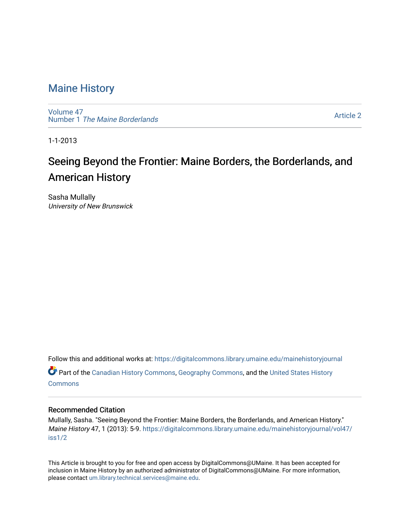### [Maine History](https://digitalcommons.library.umaine.edu/mainehistoryjournal)

[Volume 47](https://digitalcommons.library.umaine.edu/mainehistoryjournal/vol47) Number 1 [The Maine Borderlands](https://digitalcommons.library.umaine.edu/mainehistoryjournal/vol47/iss1) 

[Article 2](https://digitalcommons.library.umaine.edu/mainehistoryjournal/vol47/iss1/2) 

1-1-2013

# Seeing Beyond the Frontier: Maine Borders, the Borderlands, and American History

Sasha Mullally University of New Brunswick

Follow this and additional works at: [https://digitalcommons.library.umaine.edu/mainehistoryjournal](https://digitalcommons.library.umaine.edu/mainehistoryjournal?utm_source=digitalcommons.library.umaine.edu%2Fmainehistoryjournal%2Fvol47%2Fiss1%2F2&utm_medium=PDF&utm_campaign=PDFCoverPages) 

Part of the [Canadian History Commons](http://network.bepress.com/hgg/discipline/1358?utm_source=digitalcommons.library.umaine.edu%2Fmainehistoryjournal%2Fvol47%2Fiss1%2F2&utm_medium=PDF&utm_campaign=PDFCoverPages), [Geography Commons,](http://network.bepress.com/hgg/discipline/354?utm_source=digitalcommons.library.umaine.edu%2Fmainehistoryjournal%2Fvol47%2Fiss1%2F2&utm_medium=PDF&utm_campaign=PDFCoverPages) and the [United States History](http://network.bepress.com/hgg/discipline/495?utm_source=digitalcommons.library.umaine.edu%2Fmainehistoryjournal%2Fvol47%2Fiss1%2F2&utm_medium=PDF&utm_campaign=PDFCoverPages)  **[Commons](http://network.bepress.com/hgg/discipline/495?utm_source=digitalcommons.library.umaine.edu%2Fmainehistoryjournal%2Fvol47%2Fiss1%2F2&utm_medium=PDF&utm_campaign=PDFCoverPages)** 

### Recommended Citation

Mullally, Sasha. "Seeing Beyond the Frontier: Maine Borders, the Borderlands, and American History." Maine History 47, 1 (2013): 5-9. [https://digitalcommons.library.umaine.edu/mainehistoryjournal/vol47/](https://digitalcommons.library.umaine.edu/mainehistoryjournal/vol47/iss1/2?utm_source=digitalcommons.library.umaine.edu%2Fmainehistoryjournal%2Fvol47%2Fiss1%2F2&utm_medium=PDF&utm_campaign=PDFCoverPages) [iss1/2](https://digitalcommons.library.umaine.edu/mainehistoryjournal/vol47/iss1/2?utm_source=digitalcommons.library.umaine.edu%2Fmainehistoryjournal%2Fvol47%2Fiss1%2F2&utm_medium=PDF&utm_campaign=PDFCoverPages)

This Article is brought to you for free and open access by DigitalCommons@UMaine. It has been accepted for inclusion in Maine History by an authorized administrator of DigitalCommons@UMaine. For more information, please contact [um.library.technical.services@maine.edu.](mailto:um.library.technical.services@maine.edu)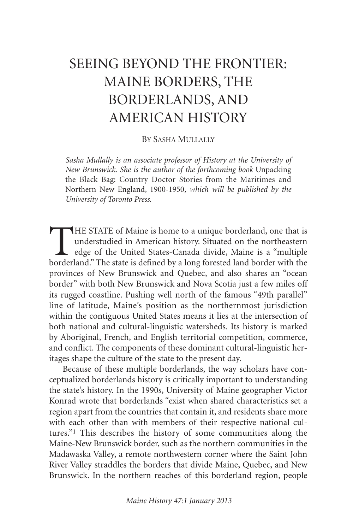# SEEING BEYOND THE FRONTIER: MAINE BORDERS, THE BORDERLANDS, AND AMERICAN HISTORY

#### BY SASHA MULLALLY

*Sasha Mullally is an associate professor of History at the University of New Brunswick. She is the author of the forthcoming book* Unpacking the Black Bag: Country Doctor Stories from the Maritimes and Northern New England, 1900-1950*, which will be published by the University of Toronto Press.*

THE STATE of Maine is home to a unique borderland, one that is<br>understudied in American history. Situated on the northeastern<br>edge of the United States-Canada divide, Maine is a "multiple<br>borderland." The state is defined understudied in American history. Situated on the northeastern edge of the United States-Canada divide, Maine is a "multiple borderland." The state is defined by a long forested land border with the provinces of New Brunswick and Quebec, and also shares an "ocean border" with both New Brunswick and Nova Scotia just a few miles off its rugged coastline. Pushing well north of the famous "49th parallel" line of latitude, Maine's position as the northernmost jurisdiction within the contiguous United States means it lies at the intersection of both national and cultural-linguistic watersheds. Its history is marked by Aboriginal, French, and English territorial competition, commerce, and conflict. The components of these dominant cultural-linguistic heritages shape the culture of the state to the present day.

Because of these multiple borderlands, the way scholars have conceptualized borderlands history is critically important to understanding the state's history. In the 1990s, University of Maine geographer Victor Konrad wrote that borderlands "exist when shared characteristics set a region apart from the countries that contain it, and residents share more with each other than with members of their respective national cultures."1 This describes the history of some communities along the Maine-New Brunswick border, such as the northern communities in the Madawaska Valley, a remote northwestern corner where the Saint John River Valley straddles the borders that divide Maine, Quebec, and New Brunswick. In the northern reaches of this borderland region, people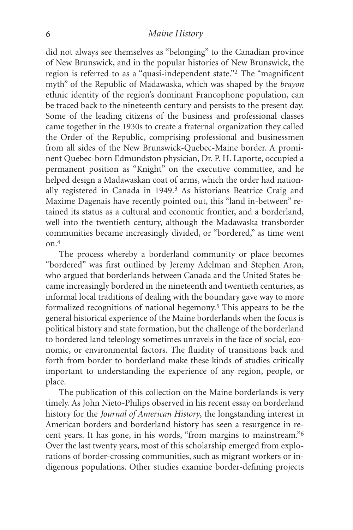#### *Maine History*

did not always see themselves as "belonging" to the Canadian province of New Brunswick, and in the popular histories of New Brunswick, the region is referred to as a "quasi-independent state."2 The "magnificent myth" of the Republic of Madawaska, which was shaped by the *brayon* ethnic identity of the region's dominant Francophone population, can be traced back to the nineteenth century and persists to the present day. Some of the leading citizens of the business and professional classes came together in the 1930s to create a fraternal organization they called the Order of the Republic, comprising professional and businessmen from all sides of the New Brunswick-Quebec-Maine border. A prominent Quebec-born Edmundston physician, Dr. P. H. Laporte, occupied a permanent position as "Knight" on the executive committee, and he helped design a Madawaskan coat of arms, which the order had nationally registered in Canada in 1949.3 As historians Beatrice Craig and Maxime Dagenais have recently pointed out, this "land in-between" retained its status as a cultural and economic frontier, and a borderland, well into the twentieth century, although the Madawaska transborder communities became increasingly divided, or "bordered," as time went on.4

The process whereby a borderland community or place becomes "bordered" was first outlined by Jeremy Adelman and Stephen Aron, who argued that borderlands between Canada and the United States became increasingly bordered in the nineteenth and twentieth centuries, as informal local traditions of dealing with the boundary gave way to more formalized recognitions of national hegemony. 5 This appears to be the general historical experience of the Maine borderlands when the focus is political history and state formation, but the challenge of the borderland to bordered land teleology sometimes unravels in the face of social, economic, or environmental factors. The fluidity of transitions back and forth from border to borderland make these kinds of studies critically important to understanding the experience of any region, people, or place.

The publication of this collection on the Maine borderlands is very timely. As John Nieto-Philips observed in his recent essay on borderland history for the *Journal of American History*, the longstanding interest in American borders and borderland history has seen a resurgence in recent years. It has gone, in his words, "from margins to mainstream."6 Over the last twenty years, most of this scholarship emerged from explorations of border-crossing communities, such as migrant workers or indigenous populations. Other studies examine border-defining projects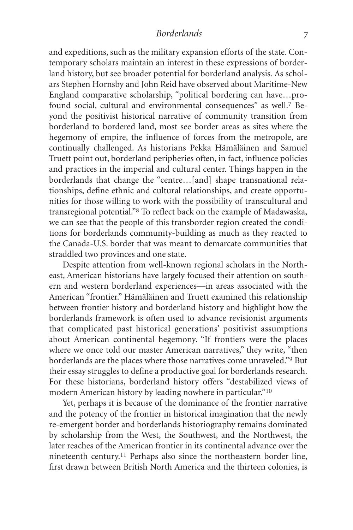and expeditions, such as the military expansion efforts of the state. Contemporary scholars maintain an interest in these expressions of borderland history, but see broader potential for borderland analysis. As scholars Stephen Hornsby and John Reid have observed about Maritime-New England comparative scholarship, "political bordering can have…profound social, cultural and environmental consequences" as well.7 Beyond the positivist historical narrative of community transition from borderland to bordered land, most see border areas as sites where the hegemony of empire, the influence of forces from the metropole, are continually challenged. As historians Pekka Hämäläinen and Samuel Truett point out, borderland peripheries often, in fact, influence policies and practices in the imperial and cultural center. Things happen in the borderlands that change the "centre…[and] shape transnational relationships, define ethnic and cultural relationships, and create opportunities for those willing to work with the possibility of transcultural and transregional potential."8 To reflect back on the example of Madawaska, we can see that the people of this transborder region created the conditions for borderlands community-building as much as they reacted to the Canada-U.S. border that was meant to demarcate communities that straddled two provinces and one state.

Despite attention from well-known regional scholars in the Northeast, American historians have largely focused their attention on southern and western borderland experiences—in areas associated with the American "frontier." Hämäläinen and Truett examined this relationship between frontier history and borderland history and highlight how the borderlands framework is often used to advance revisionist arguments that complicated past historical generations' positivist assumptions about American continental hegemony. "If frontiers were the places where we once told our master American narratives," they write, "then borderlands are the places where those narratives come unraveled."9 But their essay struggles to define a productive goal for borderlands research. For these historians, borderland history offers "destabilized views of modern American history by leading nowhere in particular."10

Yet, perhaps it is because of the dominance of the frontier narrative and the potency of the frontier in historical imagination that the newly re-emergent border and borderlands historiography remains dominated by scholarship from the West, the Southwest, and the Northwest, the later reaches of the American frontier in its continental advance over the nineteenth century. 11 Perhaps also since the northeastern border line, first drawn between British North America and the thirteen colonies, is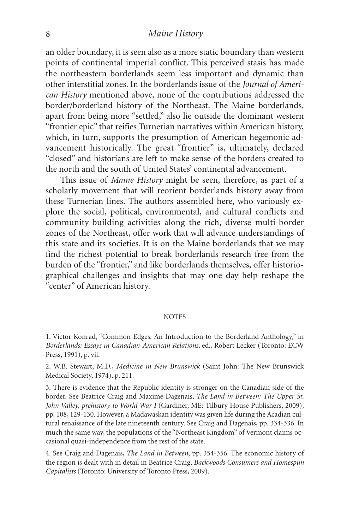#### *Maine History*

an older boundary, it is seen also as a more static boundary than western points of continental imperial conflict. This perceived stasis has made the northeastern borderlands seem less important and dynamic than other interstitial zones. In the borderlands issue of the *Journal of American History* mentioned above, none of the contributions addressed the border/borderland history of the Northeast. The Maine borderlands, apart from being more "settled," also lie outside the dominant western "frontier epic" that reifies Turnerian narratives within American history, which, in turn, supports the presumption of American hegemonic advancement historically. The great "frontier" is, ultimately, declared "closed" and historians are left to make sense of the borders created to the north and the south of United States' continental advancement.

This issue of *Maine History* might be seen, therefore, as part of a scholarly movement that will reorient borderlands history away from these Turnerian lines. The authors assembled here, who variously explore the social, political, environmental, and cultural conflicts and community-building activities along the rich, diverse multi-border zones of the Northeast, offer work that will advance understandings of this state and its societies. It is on the Maine borderlands that we may find the richest potential to break borderlands research free from the burden of the "frontier," and like borderlands themselves, offer historiographical challenges and insights that may one day help reshape the "center" of American history.

#### **NOTES**

1. Victor Konrad, "Common Edges: An Introduction to the Borderland Anthology," in *Borderlands: Essays in Canadian-American Relations*, ed., Robert Lecker (Toronto: ECW Press, 1991), p. vii.

2. W.B. Stewart, M.D., *Medicine in New Brunswick* (Saint John: The New Brunswick Medical Society, 1974), p. 211.

3. There is evidence that the Republic identity is stronger on the Canadian side of the border. See Beatrice Craig and Maxime Dagenais, *The Land in Between: The Upper St. John Valley, prehistory to World War I* (Gardiner, ME: Tilbury House Publishers, 2009), pp. 108, 129-130. However, a Madawaskan identity was given life during the Acadian cultural renaissance of the late nineteenth century. See Craig and Dagenais, pp. 334-336. In much the same way, the populations of the "Northeast Kingdom" of Vermont claims occasional quasi-independence from the rest of the state.

4. See Craig and Dagenais, *The Land in Between*, pp. 354-356. The economic history of the region is dealt with in detail in Beatrice Craig, *Backwoods Consumers and Homespun Capitalists* (Toronto: University of Toronto Press, 2009).